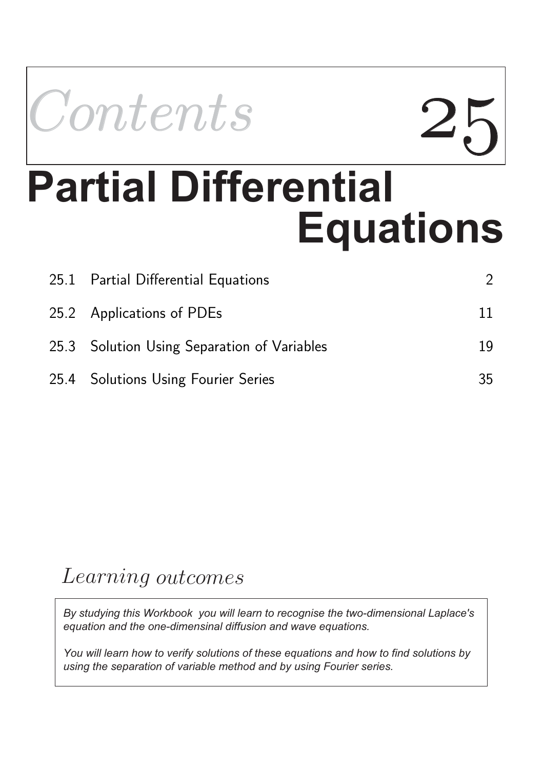

# **Equations Partial Differential**

| 25.1 Partial Differential Equations         |    |
|---------------------------------------------|----|
| 25.2 Applications of PDEs                   | 11 |
| 25.3 Solution Using Separation of Variables | 19 |
| 25.4 Solutions Using Fourier Series         | 35 |

### Learning outcomes

*By studying this Workbook you will learn to recognise the two-dimensional Laplace's equation and the one-dimensinal diffusion and wave equations.*

*You will learn how to verify solutions of these equations and how to find solutions by using the separation of variable method and by using Fourier series.*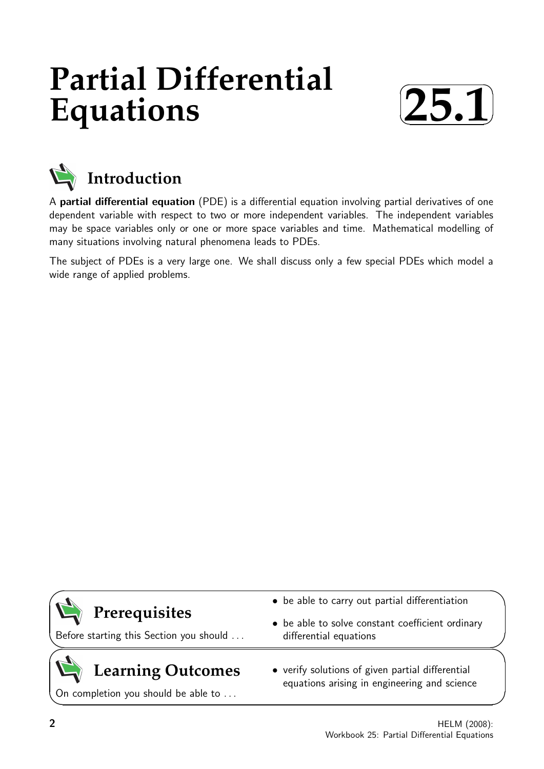## **Partial Differential Equations**





A partial differential equation (PDE) is a differential equation involving partial derivatives of one dependent variable with respect to two or more independent variables. The independent variables may be space variables only or one or more space variables and time. Mathematical modelling of many situations involving natural phenomena leads to PDEs.

The subject of PDEs is a very large one. We shall discuss only a few special PDEs which model a wide range of applied problems.

| $\left(\bigcup_{i=1}^{n}$ Prerequisites<br>Before starting this Section you should | • be able to carry out partial differentiation<br>• be able to solve constant coefficient ordinary<br>differential equations |
|------------------------------------------------------------------------------------|------------------------------------------------------------------------------------------------------------------------------|
| $\left(\bigcup_{n=1}^{\infty} \text{ Learning Outcomes}\right)$                    | • verify solutions of given partial differential                                                                             |

On completion you should be able to ...

equations arising in engineering and science

 $\overline{\phantom{0}}$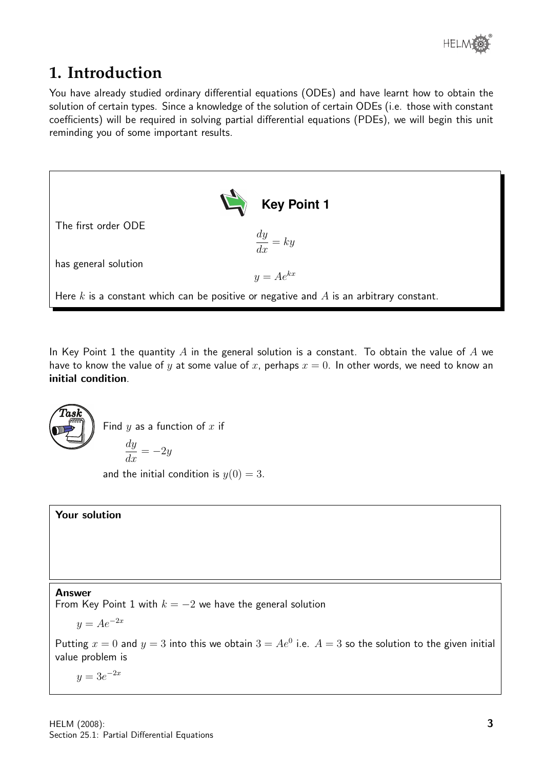

#### **1. Introduction**

You have already studied ordinary differential equations (ODEs) and have learnt how to obtain the solution of certain types. Since a knowledge of the solution of certain ODEs (i.e. those with constant coefficients) will be required in solving partial differential equations (PDEs), we will begin this unit reminding you of some important results.



In Key Point 1 the quantity A in the general solution is a constant. To obtain the value of A we have to know the value of y at some value of x, perhaps  $x = 0$ . In other words, we need to know an initial condition.



Find  $y$  as a function of  $x$  if

$$
\frac{dy}{dx} = -2y
$$

and the initial condition is  $y(0) = 3$ .

#### Your solution

Answer

From Key Point 1 with  $k = -2$  we have the general solution

$$
y = Ae^{-2x}
$$

Putting  $x = 0$  and  $y = 3$  into this we obtain  $3 = Ae^0$  i.e.  $A = 3$  so the solution to the given initial value problem is

 $y = 3e^{-2x}$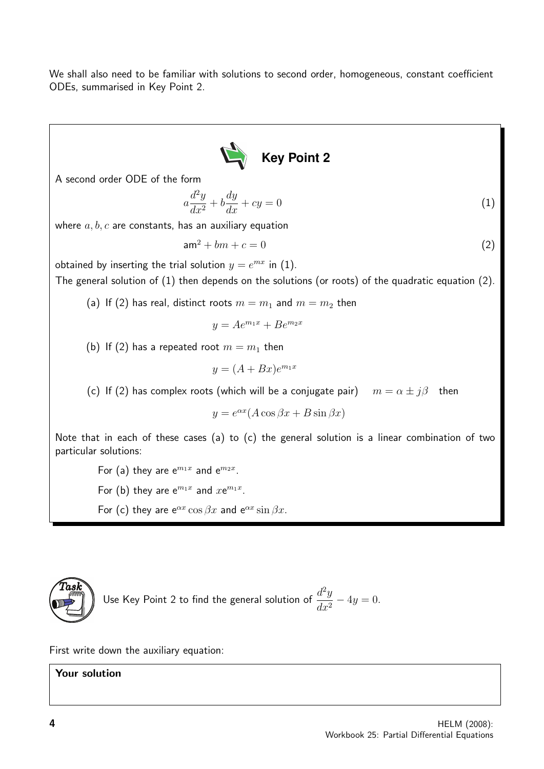We shall also need to be familiar with solutions to second order, homogeneous, constant coefficient ODEs, summarised in Key Point 2.



A second order ODE of the form

$$
a\frac{d^2y}{dx^2} + b\frac{dy}{dx} + cy = 0\tag{1}
$$

where  $a, b, c$  are constants, has an auxiliary equation

 $am^2 + bm + c = 0$  (2)

obtained by inserting the trial solution  $y = e^{mx}$  in (1).

The general solution of (1) then depends on the solutions (or roots) of the quadratic equation (2).

(a) If (2) has real, distinct roots  $m = m_1$  and  $m = m_2$  then

$$
y = Ae^{m_1x} + Be^{m_2x}
$$

(b) If (2) has a repeated root  $m = m_1$  then

$$
y = (A + Bx)e^{m_1x}
$$

(c) If (2) has complex roots (which will be a conjugate pair)  $m = \alpha \pm j\beta$  then

 $y = e^{\alpha x} (A \cos \beta x + B \sin \beta x)$ 

Note that in each of these cases (a) to (c) the general solution is a linear combination of two particular solutions:

For (a) they are  $e^{m_1x}$  and  $e^{m_2x}$ . For (b) they are  $e^{m_1x}$  and  $xe^{m_1x}$ . For (c) they are  $e^{\alpha x} \cos \beta x$  and  $e^{\alpha x} \sin \beta x$ .



Use Key Point 2 to find the general solution of 
$$
\frac{d^2y}{dx^2} - 4y = 0
$$
.

First write down the auxiliary equation:

Your solution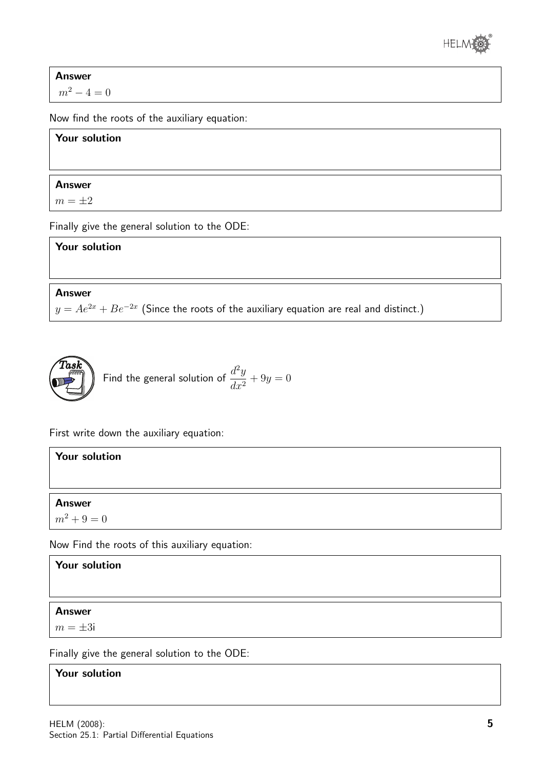

Answer

 $m^2 - 4 = 0$ 

Now find the roots of the auxiliary equation:

#### Your solution

#### Answer

 $m = \pm 2$ 

Finally give the general solution to the ODE:

Your solution

Answer

 $y=Ae^{2x}+Be^{-2x}$  (Since the roots of the auxiliary equation are real and distinct.)



First write down the auxiliary equation:

| <b>Your solution</b>                                                                                            |  |  |  |
|-----------------------------------------------------------------------------------------------------------------|--|--|--|
|                                                                                                                 |  |  |  |
| <b>Answer</b>                                                                                                   |  |  |  |
| $m^2 + 9 = 0$                                                                                                   |  |  |  |
| the contract of the contract of the contract of the contract of the contract of the contract of the contract of |  |  |  |

Now Find the roots of this auxiliary equation:

Your solution

Answer

 $m = \pm 3i$ 

Finally give the general solution to the ODE:

#### Your solution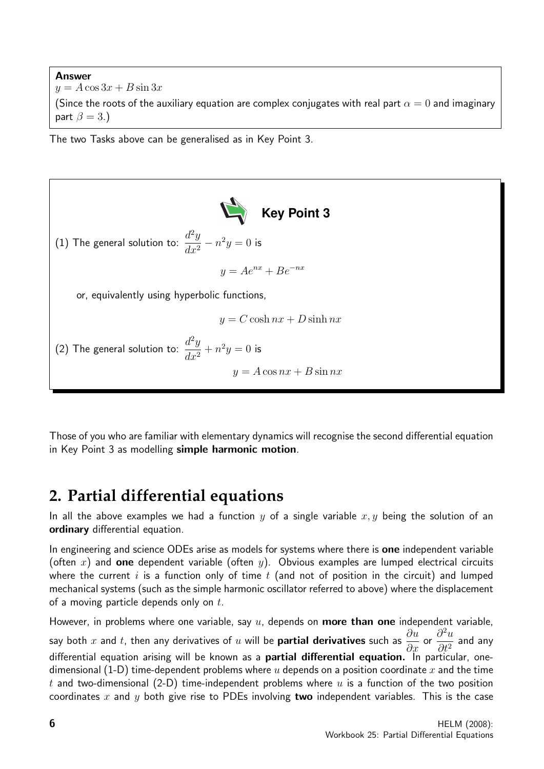Answer  $y = A \cos 3x + B \sin 3x$ (Since the roots of the auxiliary equation are complex conjugates with real part  $\alpha = 0$  and imaginary part  $\beta = 3.$ )

The two Tasks above can be generalised as in Key Point 3.



Those of you who are familiar with elementary dynamics will recognise the second differential equation in Key Point 3 as modelling simple harmonic motion.

### **2. Partial differential equations**

In all the above examples we had a function y of a single variable  $x, y$  being the solution of an ordinary differential equation.

In engineering and science ODEs arise as models for systems where there is **one** independent variable (often x) and one dependent variable (often y). Obvious examples are lumped electrical circuits where the current  $i$  is a function only of time  $t$  (and not of position in the circuit) and lumped mechanical systems (such as the simple harmonic oscillator referred to above) where the displacement of a moving particle depends only on  $t$ .

However, in problems where one variable, say  $u$ , depends on **more than one** independent variable, say both  $x$  and  $t$ , then any derivatives of  $u$  will be **partial derivatives** such as  $\frac{\partial u}{\partial x}$  $rac{\partial x}{\partial x}$  or  $\partial^2 u$  $\frac{\partial}{\partial t^2}$  and any differential equation arising will be known as a **partial differential equation.** In particular, onedimensional (1-D) time-dependent problems where u depends on a position coordinate x and the time t and two-dimensional (2-D) time-independent problems where  $u$  is a function of the two position coordinates x and y both give rise to PDEs involving two independent variables. This is the case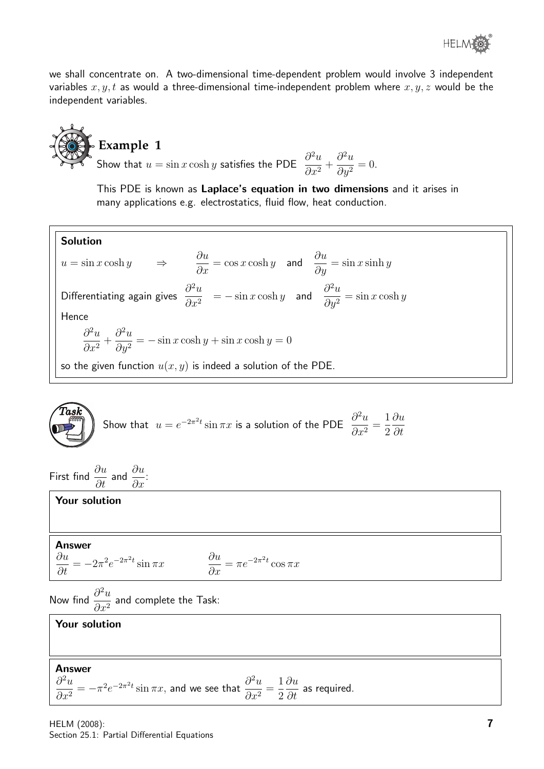

we shall concentrate on. A two-dimensional time-dependent problem would involve 3 independent variables  $x, y, t$  as would a three-dimensional time-independent problem where  $x, y, z$  would be the independent variables.

**Example 1**  
**Example 1**  
**Show that** 
$$
u = \sin x \cosh y
$$
 satisfies the PD

$$
E \frac{\partial^2 u}{\partial x^2} + \frac{\partial^2 u}{\partial y^2} = 0.
$$

This PDE is known as Laplace's equation in two dimensions and it arises in many applications e.g. electrostatics, fluid flow, heat conduction.

Solution  $u = \sin x \cosh y$   $\Rightarrow$   $\frac{\partial u}{\partial x} = \cos x \cosh y$  and  $\frac{\partial u}{\partial y} = \sin x \sinh y$ Differentiating again gives  $\frac{\partial^2 u}{\partial x^2}$  $\partial x^2$  $= -\sin x \cosh y$  and  $\frac{\partial^2 u}{\partial x^2}$  $\frac{\partial^2 u}{\partial y^2} = \sin x \cosh y$ Hence  $\partial^2 u$  $\frac{\partial}{\partial x^2} +$  $\partial^2 u$  $\partial y^2$  $=-\sin x \cosh y + \sin x \cosh y = 0$ so the given function  $u(x, y)$  is indeed a solution of the PDE.

$$
\begin{pmatrix} \text{Task} \\ \hline \end{pmatrix}
$$
 Show that  $u = e^{-2\pi^2 t} \sin \pi x$  is a solution of the PDE  $\frac{\partial^2 u}{\partial x^2} = \frac{1}{2} \frac{\partial u}{\partial t}$ 

First find  $\frac{\partial u}{\partial t}$  and  $\frac{\partial u}{\partial x}$ :

Your solution

#### Answer

$$
\frac{\partial u}{\partial t} = -2\pi^2 e^{-2\pi^2 t} \sin \pi x \qquad \qquad \frac{\partial u}{\partial x} = \pi e^{-2\pi^2 t} \cos \pi x
$$

Now find  $\frac{\partial^2 u}{\partial x^2}$  $\frac{\partial}{\partial x^2}$  and complete the Task:

#### Your solution

Answer

 $\partial^2 u$  $\partial x^2$  $=-\pi^2 e^{-2\pi^2 t} \sin \pi x$ , and we see that  $\frac{\partial^2 u}{\partial x^2}$  $\frac{\partial}{\partial x^2} =$ 1 2 ∂u  $\frac{\partial u}{\partial t}$  as required.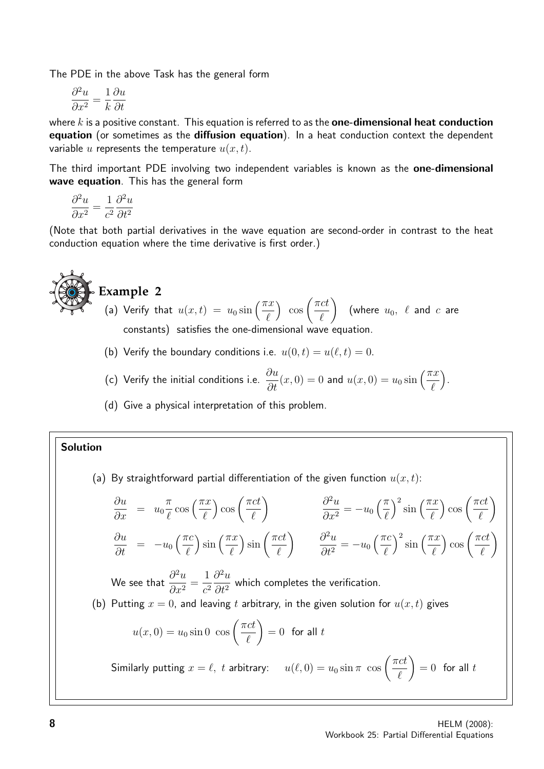The PDE in the above Task has the general form

$$
\frac{\partial^2 u}{\partial x^2} = \frac{1}{k} \frac{\partial u}{\partial t}
$$

where k is a positive constant. This equation is referred to as the **one-dimensional heat conduction** equation (or sometimes as the diffusion equation). In a heat conduction context the dependent variable u represents the temperature  $u(x, t)$ .

The third important PDE involving two independent variables is known as the one-dimensional wave equation. This has the general form

$$
\frac{\partial^2 u}{\partial x^2} = \frac{1}{c^2} \frac{\partial^2 u}{\partial t^2}
$$

(Note that both partial derivatives in the wave equation are second-order in contrast to the heat conduction equation where the time derivative is first order.)

**Example 2**  
\n(a) Verify that 
$$
u(x,t) = u_0 \sin\left(\frac{\pi x}{\ell}\right) \cos\left(\frac{\pi ct}{\ell}\right)
$$
 (where  $u_0$ ,  $\ell$  and  $c$  are constants) satisfies the one-dimensional wave equation.

(b) Verify the boundary conditions i.e.  $u(0, t) = u(\ell, t) = 0$ .

- (c) Verify the initial conditions i.e.  $\frac{\partial u}{\partial t}(x,0) = 0$  and  $u(x,0) = u_0 \sin\left(\frac{\pi x}{\ell}\right)$ .
- (d) Give a physical interpretation of this problem.

#### Solution

(a) By straightforward partial differentiation of the given function  $u(x, t)$ :

$$
\frac{\partial u}{\partial x} = u_0 \frac{\pi}{\ell} \cos\left(\frac{\pi x}{\ell}\right) \cos\left(\frac{\pi ct}{\ell}\right) \qquad \frac{\partial^2 u}{\partial x^2} = -u_0 \left(\frac{\pi}{\ell}\right)^2 \sin\left(\frac{\pi x}{\ell}\right) \cos\left(\frac{\pi ct}{\ell}\right)
$$
  

$$
\frac{\partial u}{\partial t} = -u_0 \left(\frac{\pi c}{\ell}\right) \sin\left(\frac{\pi x}{\ell}\right) \sin\left(\frac{\pi ct}{\ell}\right) \qquad \frac{\partial^2 u}{\partial t^2} = -u_0 \left(\frac{\pi c}{\ell}\right)^2 \sin\left(\frac{\pi x}{\ell}\right) \cos\left(\frac{\pi ct}{\ell}\right)
$$
  
We see that  $\frac{\partial^2 u}{\partial x^2} = \frac{1}{c^2} \frac{\partial^2 u}{\partial t^2}$  which completes the verification.  
(b) Putting  $x = 0$ , and leaving *t* arbitrary, in the given solution for  $u(x, t)$  gives  
 $u(x, 0) = u_0 \sin 0 \cos\left(\frac{\pi ct}{\ell}\right) = 0$  for all *t*  
Similarly putting  $x = \ell$ , *t* arbitrary:  $u(\ell, 0) = u_0 \sin \pi \cos\left(\frac{\pi ct}{\ell}\right) = 0$  for all *t*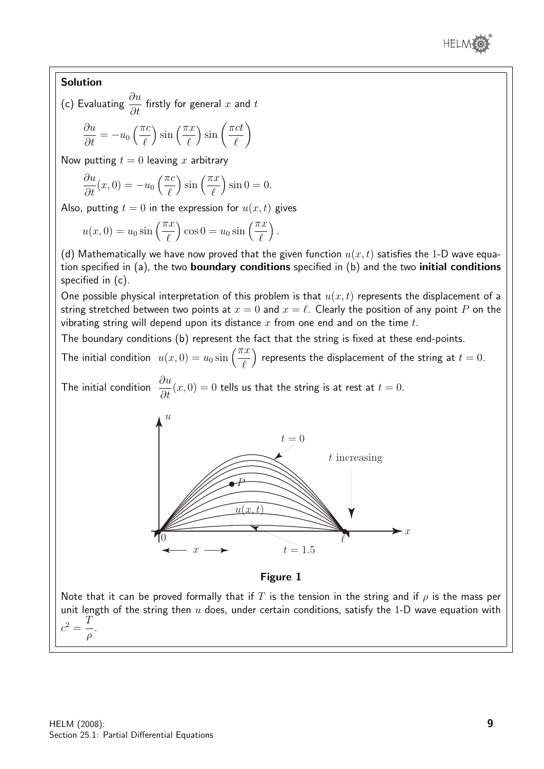

#### Solution

(c) Evaluating  $\frac{\partial u}{\partial t}$  $\frac{\partial}{\partial t}$  firstly for general  $x$  and  $t$ 

$$
\frac{\partial u}{\partial t} = -u_0 \left(\frac{\pi c}{\ell}\right) \sin\left(\frac{\pi x}{\ell}\right) \sin\left(\frac{\pi ct}{\ell}\right)
$$

Now putting  $t = 0$  leaving x arbitrary

$$
\frac{\partial u}{\partial t}(x,0) = -u_0\left(\frac{\pi c}{\ell}\right)\sin\left(\frac{\pi x}{\ell}\right)\sin 0 = 0.
$$

Also, putting  $t = 0$  in the expression for  $u(x, t)$  gives

$$
u(x, 0) = u_0 \sin\left(\frac{\pi x}{\ell}\right) \cos 0 = u_0 \sin\left(\frac{\pi x}{\ell}\right).
$$

(d) Mathematically we have now proved that the given function  $u(x, t)$  satisfies the 1-D wave equation specified in (a), the two boundary conditions specified in (b) and the two initial conditions specified in (c).

One possible physical interpretation of this problem is that  $u(x, t)$  represents the displacement of a string stretched between two points at  $x = 0$  and  $x = \ell$ . Clearly the position of any point P on the vibrating string will depend upon its distance x from one end and on the time  $t$ .

The boundary conditions (b) represent the fact that the string is fixed at these end-points.

The initial condition  $u(x, 0) = u_0 \sin \left(\frac{\pi x}{\ell}\right)$ ) represents the displacement of the string at  $t = 0$ .

The initial condition  $\frac{\partial u}{\partial x}$  $\frac{\partial^2 u}{\partial t}(x, 0) = 0$  tells us that the string is at rest at  $t = 0$ .



#### Figure 1

Note that it can be proved formally that if T is the tension in the string and if  $\rho$  is the mass per unit length of the string then  $u$  does, under certain conditions, satisfy the 1-D wave equation with  $c^2 = \frac{T}{\sqrt{2}}$ ρ .